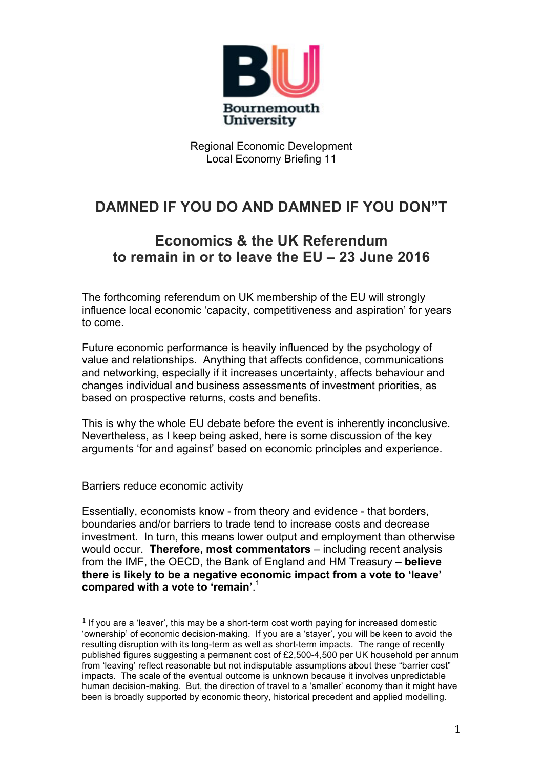

# **DAMNED IF YOU DO AND DAMNED IF YOU DON"T**

## **Economics & the UK Referendum to remain in or to leave the EU – 23 June 2016**

The forthcoming referendum on UK membership of the EU will strongly influence local economic 'capacity, competitiveness and aspiration' for years to come.

Future economic performance is heavily influenced by the psychology of value and relationships. Anything that affects confidence, communications and networking, especially if it increases uncertainty, affects behaviour and changes individual and business assessments of investment priorities, as based on prospective returns, costs and benefits.

This is why the whole EU debate before the event is inherently inconclusive. Nevertheless, as I keep being asked, here is some discussion of the key arguments 'for and against' based on economic principles and experience.

#### Barriers reduce economic activity

 

Essentially, economists know - from theory and evidence - that borders, boundaries and/or barriers to trade tend to increase costs and decrease investment. In turn, this means lower output and employment than otherwise would occur. **Therefore, most commentators** – including recent analysis from the IMF, the OECD, the Bank of England and HM Treasury – **believe there is likely to be a negative economic impact from a vote to 'leave' compared with a vote to 'remain'**. 1

 $1$  If you are a 'leaver', this may be a short-term cost worth paying for increased domestic 'ownership' of economic decision-making. If you are a 'stayer', you will be keen to avoid the resulting disruption with its long-term as well as short-term impacts. The range of recently published figures suggesting a permanent cost of £2,500-4,500 per UK household per annum from 'leaving' reflect reasonable but not indisputable assumptions about these "barrier cost" impacts. The scale of the eventual outcome is unknown because it involves unpredictable human decision-making. But, the direction of travel to a 'smaller' economy than it might have been is broadly supported by economic theory, historical precedent and applied modelling.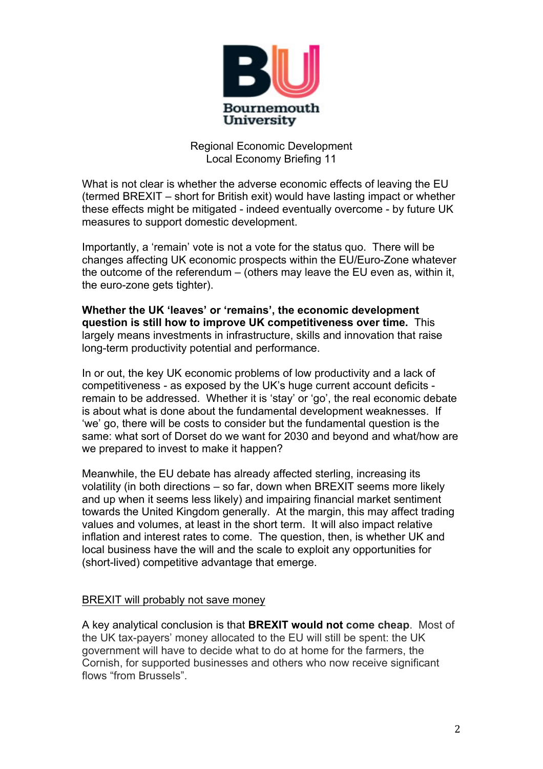

What is not clear is whether the adverse economic effects of leaving the EU (termed BREXIT – short for British exit) would have lasting impact or whether these effects might be mitigated - indeed eventually overcome - by future UK measures to support domestic development.

Importantly, a 'remain' vote is not a vote for the status quo. There will be changes affecting UK economic prospects within the EU/Euro-Zone whatever the outcome of the referendum – (others may leave the EU even as, within it, the euro-zone gets tighter).

**Whether the UK 'leaves' or 'remains', the economic development question is still how to improve UK competitiveness over time.** This largely means investments in infrastructure, skills and innovation that raise long-term productivity potential and performance.

In or out, the key UK economic problems of low productivity and a lack of competitiveness - as exposed by the UK's huge current account deficits remain to be addressed. Whether it is 'stay' or 'go', the real economic debate is about what is done about the fundamental development weaknesses. If 'we' go, there will be costs to consider but the fundamental question is the same: what sort of Dorset do we want for 2030 and beyond and what/how are we prepared to invest to make it happen?

Meanwhile, the EU debate has already affected sterling, increasing its volatility (in both directions – so far, down when BREXIT seems more likely and up when it seems less likely) and impairing financial market sentiment towards the United Kingdom generally. At the margin, this may affect trading values and volumes, at least in the short term. It will also impact relative inflation and interest rates to come. The question, then, is whether UK and local business have the will and the scale to exploit any opportunities for (short-lived) competitive advantage that emerge.

#### BREXIT will probably not save money

A key analytical conclusion is that **BREXIT would not come cheap**. Most of the UK tax-payers' money allocated to the EU will still be spent: the UK government will have to decide what to do at home for the farmers, the Cornish, for supported businesses and others who now receive significant flows "from Brussels".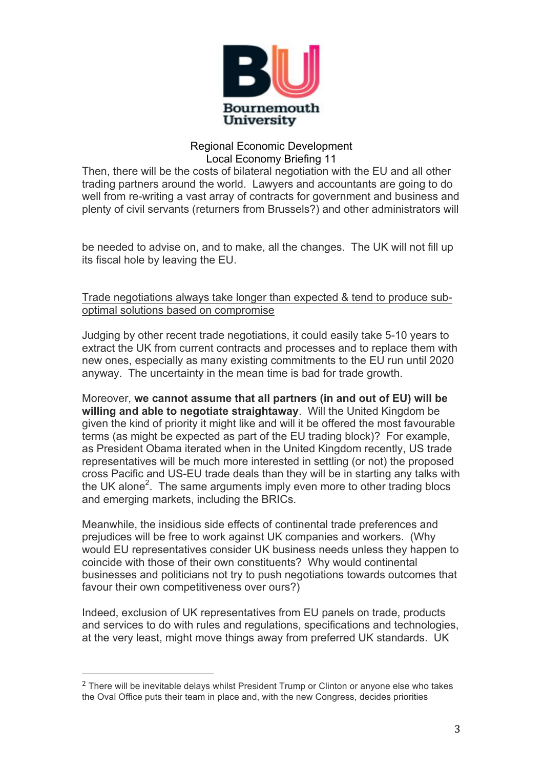

Then, there will be the costs of bilateral negotiation with the EU and all other trading partners around the world. Lawyers and accountants are going to do well from re-writing a vast array of contracts for government and business and plenty of civil servants (returners from Brussels?) and other administrators will

be needed to advise on, and to make, all the changes. The UK will not fill up its fiscal hole by leaving the EU.

Trade negotiations always take longer than expected & tend to produce suboptimal solutions based on compromise

Judging by other recent trade negotiations, it could easily take 5-10 years to extract the UK from current contracts and processes and to replace them with new ones, especially as many existing commitments to the EU run until 2020 anyway. The uncertainty in the mean time is bad for trade growth.

Moreover, **we cannot assume that all partners (in and out of EU) will be willing and able to negotiate straightaway**. Will the United Kingdom be given the kind of priority it might like and will it be offered the most favourable terms (as might be expected as part of the EU trading block)? For example, as President Obama iterated when in the United Kingdom recently, US trade representatives will be much more interested in settling (or not) the proposed cross Pacific and US-EU trade deals than they will be in starting any talks with the UK alone<sup>2</sup>. The same arguments imply even more to other trading blocs and emerging markets, including the BRICs.

Meanwhile, the insidious side effects of continental trade preferences and prejudices will be free to work against UK companies and workers. (Why would EU representatives consider UK business needs unless they happen to coincide with those of their own constituents? Why would continental businesses and politicians not try to push negotiations towards outcomes that favour their own competitiveness over ours?)

Indeed, exclusion of UK representatives from EU panels on trade, products and services to do with rules and regulations, specifications and technologies, at the very least, might move things away from preferred UK standards. UK

 

<sup>&</sup>lt;sup>2</sup> There will be inevitable delays whilst President Trump or Clinton or anyone else who takes the Oval Office puts their team in place and, with the new Congress, decides priorities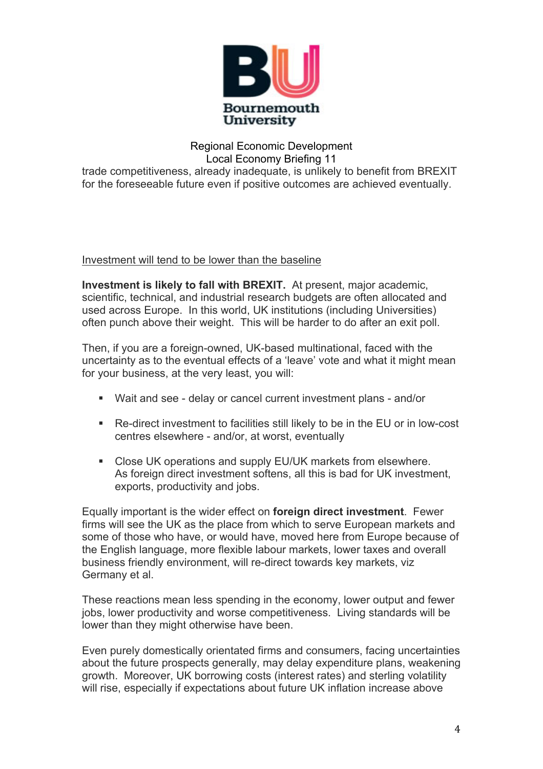

trade competitiveness, already inadequate, is unlikely to benefit from BREXIT for the foreseeable future even if positive outcomes are achieved eventually.

Investment will tend to be lower than the baseline

**Investment is likely to fall with BREXIT.** At present, major academic, scientific, technical, and industrial research budgets are often allocated and used across Europe. In this world, UK institutions (including Universities) often punch above their weight. This will be harder to do after an exit poll.

Then, if you are a foreign-owned, UK-based multinational, faced with the uncertainty as to the eventual effects of a 'leave' vote and what it might mean for your business, at the very least, you will:

- Wait and see delay or cancel current investment plans and/or
- Re-direct investment to facilities still likely to be in the EU or in low-cost centres elsewhere - and/or, at worst, eventually
- Close UK operations and supply EU/UK markets from elsewhere. As foreign direct investment softens, all this is bad for UK investment, exports, productivity and jobs.

Equally important is the wider effect on **foreign direct investment**. Fewer firms will see the UK as the place from which to serve European markets and some of those who have, or would have, moved here from Europe because of the English language, more flexible labour markets, lower taxes and overall business friendly environment, will re-direct towards key markets, viz Germany et al.

These reactions mean less spending in the economy, lower output and fewer jobs, lower productivity and worse competitiveness. Living standards will be lower than they might otherwise have been.

Even purely domestically orientated firms and consumers, facing uncertainties about the future prospects generally, may delay expenditure plans, weakening growth. Moreover, UK borrowing costs (interest rates) and sterling volatility will rise, especially if expectations about future UK inflation increase above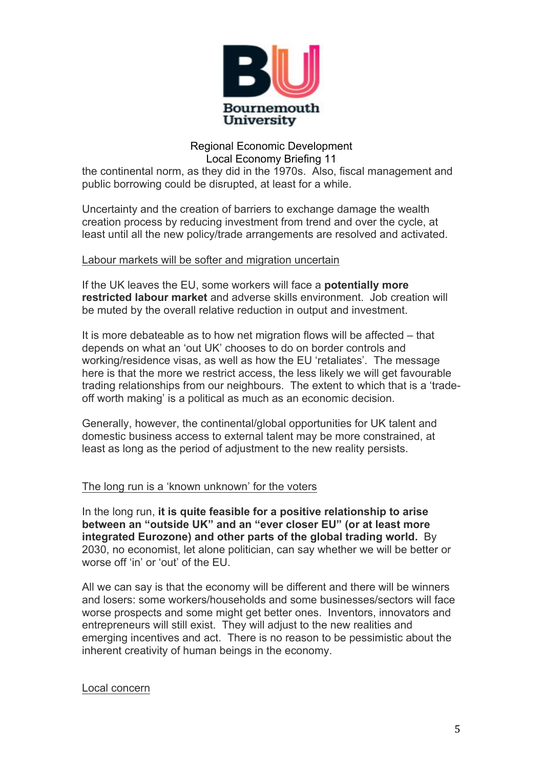

the continental norm, as they did in the 1970s. Also, fiscal management and public borrowing could be disrupted, at least for a while.

Uncertainty and the creation of barriers to exchange damage the wealth creation process by reducing investment from trend and over the cycle, at least until all the new policy/trade arrangements are resolved and activated.

#### Labour markets will be softer and migration uncertain

If the UK leaves the EU, some workers will face a **potentially more restricted labour market** and adverse skills environment. Job creation will be muted by the overall relative reduction in output and investment.

It is more debateable as to how net migration flows will be affected – that depends on what an 'out UK' chooses to do on border controls and working/residence visas, as well as how the EU 'retaliates'. The message here is that the more we restrict access, the less likely we will get favourable trading relationships from our neighbours. The extent to which that is a 'tradeoff worth making' is a political as much as an economic decision.

Generally, however, the continental/global opportunities for UK talent and domestic business access to external talent may be more constrained, at least as long as the period of adjustment to the new reality persists.

#### The long run is a 'known unknown' for the voters

In the long run, **it is quite feasible for a positive relationship to arise between an "outside UK" and an "ever closer EU" (or at least more integrated Eurozone) and other parts of the global trading world.** By 2030, no economist, let alone politician, can say whether we will be better or worse off 'in' or 'out' of the EU.

All we can say is that the economy will be different and there will be winners and losers: some workers/households and some businesses/sectors will face worse prospects and some might get better ones. Inventors, innovators and entrepreneurs will still exist. They will adjust to the new realities and emerging incentives and act. There is no reason to be pessimistic about the inherent creativity of human beings in the economy.

#### Local concern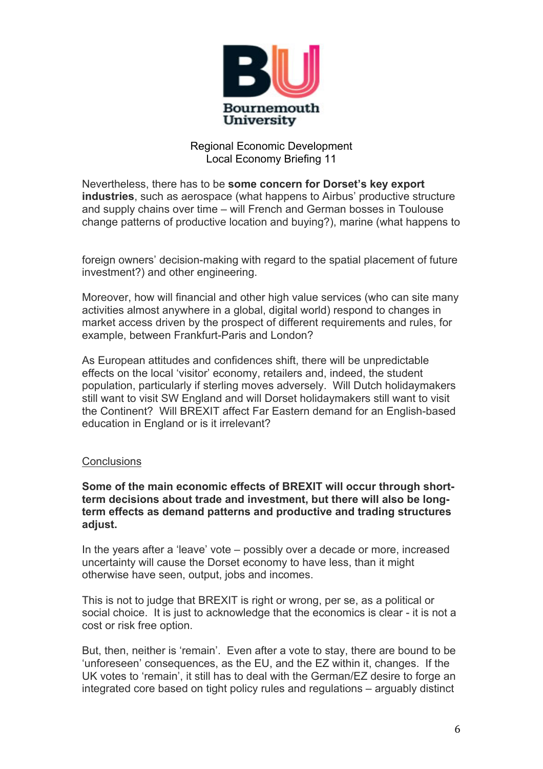

Nevertheless, there has to be **some concern for Dorset's key export industries**, such as aerospace (what happens to Airbus' productive structure and supply chains over time – will French and German bosses in Toulouse change patterns of productive location and buying?), marine (what happens to

foreign owners' decision-making with regard to the spatial placement of future investment?) and other engineering.

Moreover, how will financial and other high value services (who can site many activities almost anywhere in a global, digital world) respond to changes in market access driven by the prospect of different requirements and rules, for example, between Frankfurt-Paris and London?

As European attitudes and confidences shift, there will be unpredictable effects on the local 'visitor' economy, retailers and, indeed, the student population, particularly if sterling moves adversely. Will Dutch holidaymakers still want to visit SW England and will Dorset holidaymakers still want to visit the Continent? Will BREXIT affect Far Eastern demand for an English-based education in England or is it irrelevant?

#### **Conclusions**

**Some of the main economic effects of BREXIT will occur through shortterm decisions about trade and investment, but there will also be longterm effects as demand patterns and productive and trading structures adjust.**

In the years after a 'leave' vote – possibly over a decade or more, increased uncertainty will cause the Dorset economy to have less, than it might otherwise have seen, output, jobs and incomes.

This is not to judge that BREXIT is right or wrong, per se, as a political or social choice. It is just to acknowledge that the economics is clear - it is not a cost or risk free option.

But, then, neither is 'remain'. Even after a vote to stay, there are bound to be 'unforeseen' consequences, as the EU, and the EZ within it, changes. If the UK votes to 'remain', it still has to deal with the German/EZ desire to forge an integrated core based on tight policy rules and regulations – arguably distinct